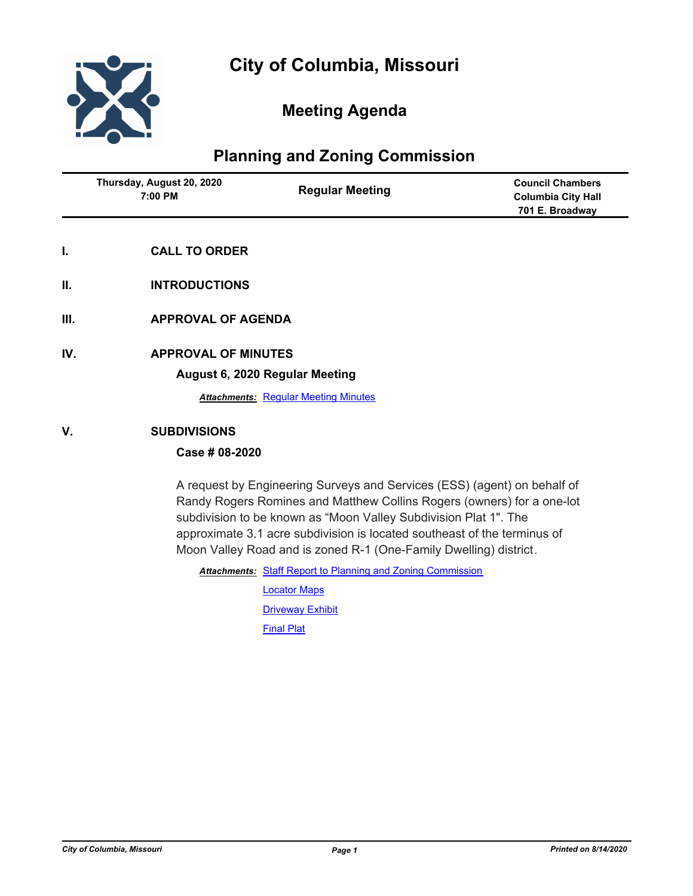

# **Meeting Agenda**

# **Planning and Zoning Commission**

| 7:00 PM<br>Columbia City Hall<br>701 E. Broadway | Thursday, August 20, 2020 | <b>Regular Meeting</b> | <b>Council Chambers</b> |
|--------------------------------------------------|---------------------------|------------------------|-------------------------|
|--------------------------------------------------|---------------------------|------------------------|-------------------------|

- **I. CALL TO ORDER**
- **II. INTRODUCTIONS**
- **III. APPROVAL OF AGENDA**
- **IV. APPROVAL OF MINUTES**

#### **August 6, 2020 Regular Meeting**

**Attachments: [Regular Meeting Minutes](http://gocolumbiamo.legistar.com/gateway.aspx?M=F&ID=a4d49521-4dff-4a27-88e5-5000b1b649d2.doc)** 

# **V. SUBDIVISIONS**

# **Case # 08-2020**

A request by Engineering Surveys and Services (ESS) (agent) on behalf of Randy Rogers Romines and Matthew Collins Rogers (owners) for a one-lot subdivision to be known as "Moon Valley Subdivision Plat 1". The approximate 3.1 acre subdivision is located southeast of the terminus of Moon Valley Road and is zoned R-1 (One-Family Dwelling) district.

Attachments: [Staff Report to Planning and Zoning Commission](http://gocolumbiamo.legistar.com/gateway.aspx?M=F&ID=03261bc3-e4bc-47be-826a-40b640371f0a.docx)

[Locator Maps](http://gocolumbiamo.legistar.com/gateway.aspx?M=F&ID=e5e47acb-8971-435d-88ab-621f45bf8a02.pdf) **[Driveway Exhibit](http://gocolumbiamo.legistar.com/gateway.aspx?M=F&ID=dbfdef7d-8621-469d-a41c-fd6debd82059.pdf)** [Final Plat](http://gocolumbiamo.legistar.com/gateway.aspx?M=F&ID=88380bd2-d706-473a-9aea-5bcaaaaf7902.pdf)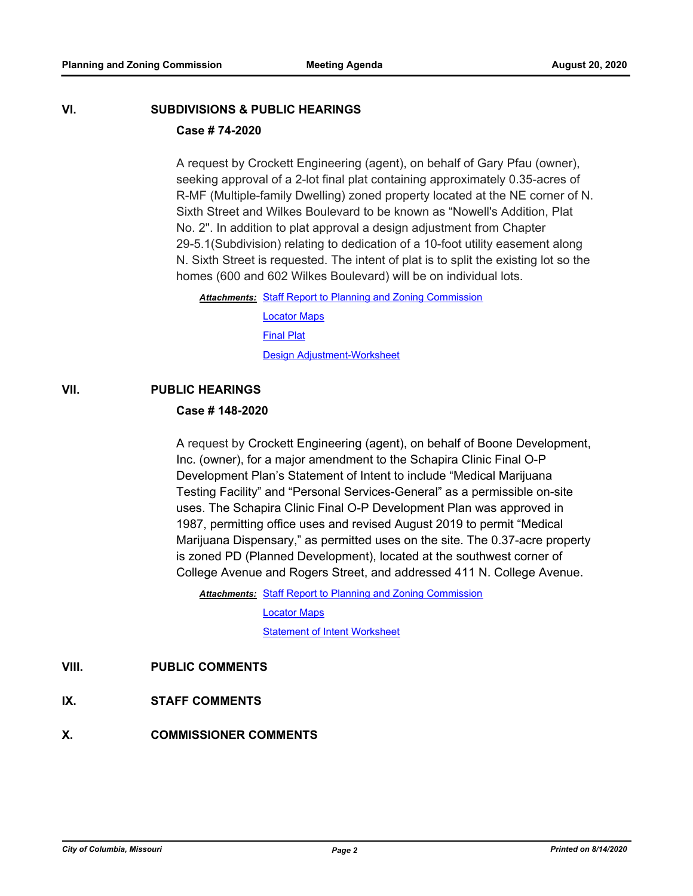# **VI. SUBDIVISIONS & PUBLIC HEARINGS**

# **Case # 74-2020**

A request by Crockett Engineering (agent), on behalf of Gary Pfau (owner), seeking approval of a 2-lot final plat containing approximately 0.35-acres of R-MF (Multiple-family Dwelling) zoned property located at the NE corner of N. Sixth Street and Wilkes Boulevard to be known as "Nowell's Addition, Plat No. 2". In addition to plat approval a design adjustment from Chapter 29-5.1(Subdivision) relating to dedication of a 10-foot utility easement along N. Sixth Street is requested. The intent of plat is to split the existing lot so the homes (600 and 602 Wilkes Boulevard) will be on individual lots.

Attachments: [Staff Report to Planning and Zoning Commission](http://gocolumbiamo.legistar.com/gateway.aspx?M=F&ID=74965ec5-9582-40b2-94f4-cb1507f4e6f9.docx) [Locator Maps](http://gocolumbiamo.legistar.com/gateway.aspx?M=F&ID=89fabd97-2a13-4d0b-bccf-b5658652ce92.pdf) **[Final Plat](http://gocolumbiamo.legistar.com/gateway.aspx?M=F&ID=6d0d91c7-d4b3-4153-adda-42dc5bef8cb8.pdf)** [Design Adjustment-Worksheet](http://gocolumbiamo.legistar.com/gateway.aspx?M=F&ID=199cd0f2-a9c7-4774-a20b-c4d1b1462d09.pdf)

# **VII. PUBLIC HEARINGS**

## **Case # 148-2020**

A request by Crockett Engineering (agent), on behalf of Boone Development, Inc. (owner), for a major amendment to the Schapira Clinic Final O-P Development Plan's Statement of Intent to include "Medical Marijuana Testing Facility" and "Personal Services-General" as a permissible on-site uses. The Schapira Clinic Final O-P Development Plan was approved in 1987, permitting office uses and revised August 2019 to permit "Medical Marijuana Dispensary," as permitted uses on the site. The 0.37-acre property is zoned PD (Planned Development), located at the southwest corner of College Avenue and Rogers Street, and addressed 411 N. College Avenue.

Attachments: [Staff Report to Planning and Zoning Commission](http://gocolumbiamo.legistar.com/gateway.aspx?M=F&ID=e252e8d8-3690-44b0-93d2-06630928da83.docx)

[Locator Maps](http://gocolumbiamo.legistar.com/gateway.aspx?M=F&ID=6c8f3bf6-1811-4218-98a1-0b956a6554b7.pdf)

[Statement of Intent Worksheet](http://gocolumbiamo.legistar.com/gateway.aspx?M=F&ID=21e8f942-3cdc-4fb9-a16c-20c32dfbe931.pdf)

- **VIII. PUBLIC COMMENTS**
- **IX. STAFF COMMENTS**
- **X. COMMISSIONER COMMENTS**